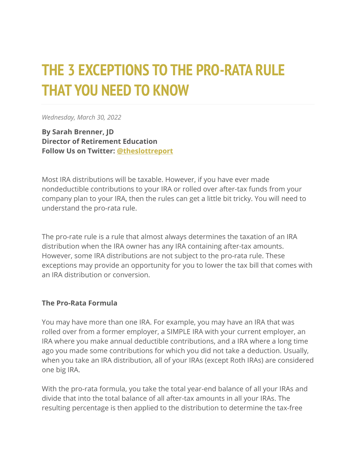## **THE 3 EXCEPTIONS TO THE PRO-RATA RULE THAT YOU NEED TO KNOW**

*Wednesday, March 30, 2022*

**By Sarah Brenner, JD Director of Retirement Education Follow Us on Twitter: [@theslottreport](https://twitter.com/theslottreport)**

Most IRA distributions will be taxable. However, if you have ever made nondeductible contributions to your IRA or rolled over after-tax funds from your company plan to your IRA, then the rules can get a little bit tricky. You will need to understand the pro-rata rule.

The pro-rate rule is a rule that almost always determines the taxation of an IRA distribution when the IRA owner has any IRA containing after-tax amounts. However, some IRA distributions are not subject to the pro-rata rule. These exceptions may provide an opportunity for you to lower the tax bill that comes with an IRA distribution or conversion.

## **The Pro-Rata Formula**

You may have more than one IRA. For example, you may have an IRA that was rolled over from a former employer, a SIMPLE IRA with your current employer, an IRA where you make annual deductible contributions, and a IRA where a long time ago you made some contributions for which you did not take a deduction. Usually, when you take an IRA distribution, all of your IRAs (except Roth IRAs) are considered one big IRA.

With the pro-rata formula, you take the total year-end balance of all your IRAs and divide that into the total balance of all after-tax amounts in all your IRAs. The resulting percentage is then applied to the distribution to determine the tax-free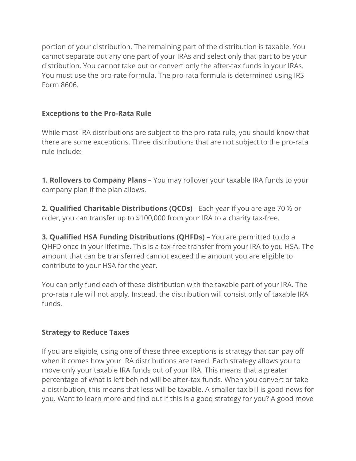portion of your distribution. The remaining part of the distribution is taxable. You cannot separate out any one part of your IRAs and select only that part to be your distribution. You cannot take out or convert only the after-tax funds in your IRAs. You must use the pro-rate formula. The pro rata formula is determined using IRS Form 8606.

## **Exceptions to the Pro-Rata Rule**

While most IRA distributions are subject to the pro-rata rule, you should know that there are some exceptions. Three distributions that are not subject to the pro-rata rule include:

**1. Rollovers to Company Plans** – You may rollover your taxable IRA funds to your company plan if the plan allows.

**2. Qualified Charitable Distributions (QCDs)** - Each year if you are age 70 ½ or older, you can transfer up to \$100,000 from your IRA to a charity tax-free.

**3. Qualified HSA Funding Distributions (QHFDs)** – You are permitted to do a QHFD once in your lifetime. This is a tax-free transfer from your IRA to you HSA. The amount that can be transferred cannot exceed the amount you are eligible to contribute to your HSA for the year.

You can only fund each of these distribution with the taxable part of your IRA. The pro-rata rule will not apply. Instead, the distribution will consist only of taxable IRA funds.

## **Strategy to Reduce Taxes**

If you are eligible, using one of these three exceptions is strategy that can pay off when it comes how your IRA distributions are taxed. Each strategy allows you to move only your taxable IRA funds out of your IRA. This means that a greater percentage of what is left behind will be after-tax funds. When you convert or take a distribution, this means that less will be taxable. A smaller tax bill is good news for you. Want to learn more and find out if this is a good strategy for you? A good move